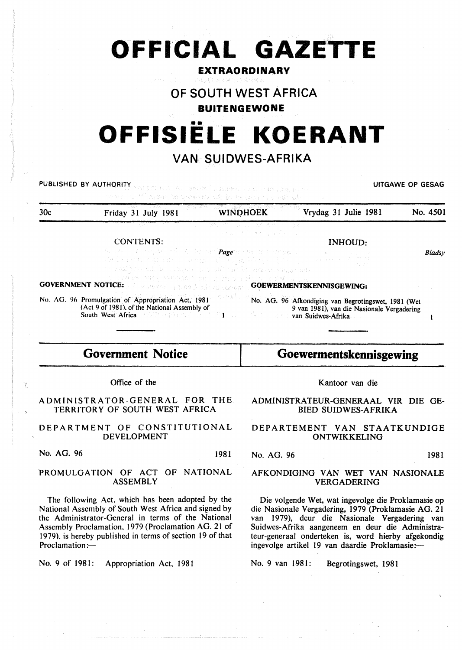# **OFFICIAL GAZETTE**

# **EXTRAORDINARY**

# **OF SOUTH WEST AFRICA**

# **BUITENGEWONE**

# •• **OFFISIELE KOERANT**

# **VAN SUIDWES-AFRIKA**

|     | <b>PUBLISHED BY AUTHORITY</b> And per eats the consideration of a second departure of<br>mobility of Michael he sponked with the sequence of walk with                                                                                                                                         |                                                                                                                                                                                                                                                                                                                                                                                                                                                                                                                                              | UITGAWE OP GESAG                                                                                  |               |
|-----|------------------------------------------------------------------------------------------------------------------------------------------------------------------------------------------------------------------------------------------------------------------------------------------------|----------------------------------------------------------------------------------------------------------------------------------------------------------------------------------------------------------------------------------------------------------------------------------------------------------------------------------------------------------------------------------------------------------------------------------------------------------------------------------------------------------------------------------------------|---------------------------------------------------------------------------------------------------|---------------|
| 30c | WINDHOEK<br>Friday 31 July 1981                                                                                                                                                                                                                                                                |                                                                                                                                                                                                                                                                                                                                                                                                                                                                                                                                              | Vrydag 31 Julie 1981                                                                              | No. 4501      |
|     | 로마 2007년 2월 20일 대학 대학교 대학교 대학 정치 대학교 보호 시간이 있습니다. 이 공장<br><b>CONTENTS:</b>                                                                                                                                                                                                                     | $\mathcal{L} \times \mathcal{L} \times \mathcal{L} \times \mathcal{L} \times \mathcal{L} \times \mathcal{L} \times \mathcal{L} \times \mathcal{L} \times \mathcal{L} \times \mathcal{L} \times \mathcal{L} \times \mathcal{L} \times \mathcal{L} \times \mathcal{L} \times \mathcal{L} \times \mathcal{L} \times \mathcal{L} \times \mathcal{L} \times \mathcal{L} \times \mathcal{L} \times \mathcal{L} \times \mathcal{L} \times \mathcal{L} \times \mathcal{L} \times \mathcal{L} \times \mathcal{L} \times \mathcal{L} \times \mathcal{$ | <b>INHOUD:</b>                                                                                    |               |
|     | An a Ann an am poileach a chuid ann <b>Page</b> ar e Great acus agus le chuid anns an a<br>of the cost organization a state of May & Society of the organization of of their<br>of the match of the set of the set of the second control of the second set of the set of the set of the set of |                                                                                                                                                                                                                                                                                                                                                                                                                                                                                                                                              |                                                                                                   | <b>Bladsy</b> |
|     | i galas meg hayamê da hekev ndinv mira e çeç<br><b>GOVERNMENT NOTICE: Example 2008 COEWERMENTSKENNISGEWING:</b>                                                                                                                                                                                |                                                                                                                                                                                                                                                                                                                                                                                                                                                                                                                                              |                                                                                                   |               |
|     | No. AG. 96 Promulgation of Appropriation Act, 1981<br>(Act 9 of 1981), of the National Assembly of<br>South West Africa and State of the State of the Law and Suidwes-Afrika.                                                                                                                  |                                                                                                                                                                                                                                                                                                                                                                                                                                                                                                                                              | No. AG. 96 Afkondiging van Begrotingswet, 1981 (Wet<br>9 van 1981), van die Nasionale Vergadering |               |

# **Government Notice**

# **Goewermentskennisgewing**

Office of the

ADMINISTRATOR-GENERAL FOR THE TERRITORY OF SOUTH WEST AFRICA

DEPARTMENT OF CONSTITUTIONAL DEVELOPMENT

No. AG. 96 1981

### PROMULGATION OF ACT OF NATIONAL ASSEMBLY

The following Act. which has been adopted by the National Assembly of South West Africa and signed by the Administrator-General in terms of the National Assembly Proclamation. 1979 (Proclamation AG. 21 of 1979). is hereby published in terms of section 19 of that Proclamation:-

No. 9 of 1981: Appropriation Act. 1981

#### Kantoor van die

ADMINISTRATEUR-GENERAAL VIR DIE GE-BIED SUIDWES-AFRIKA

# DEPARTEMENT VAN STAATKUNDIGE ONTWIKKELING

No. AG. 96 1981

### AFKONDIGING VAN WET VAN NASIONALE VERGADERING

Die volgende Wet, wat ingevolge die Proklamasie op die Nasionale Vergadering, 1979 (Proklamasie AG. 21 van 1979), deur die Nasionale Vergadering van Suidwes-Afrika aangeneem en deur die Administrateur-generaal onderteken is, word hierby afgekondig ingevolge artikel 19 van daardie Proklamasie:-

No. 9 van 1981: Begrotingswet, 1981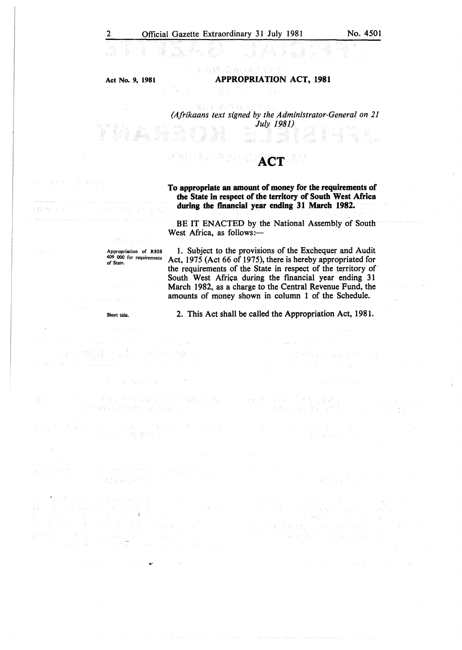#### Act No. 9, 1981

an<br>Andr

#### APPROPRIATION ACT, 1981

w. K

# *(Afrikaans text slgned by the Administrator-General on 21 July 1981)*

#### N E P 기소 À **ACT**

To appropriate an amount of money for the requirements of the State in respect of the territory of South West Africa during the financial year ending 31 March 1982.

BE IT ENACTED by the National Assembly of South West Africa, as follows:-

Appropriation of R808 409 000 for requirements of State.

I. Subject to the provisions of the Exchequer and Audit Act, 1975 (Act 66 of 1975), there is hereby appropriated for the requirements of the State in respect of the territory of South West Africa during the financial year ending 31 March 1982, as a charge to the Central Revenue Fund, the amounts of money shown in column 1 of the Schedule.

2. This Act shall be called the Appropriation Act, 1981.

法辩案 医原子 计数句编辑 医心脏

美德拉克 医内容 医前角 不可以

stanik medicin

 $\sim 220\,{\rm erg\,s^{-1}}$  .

 $O(2\pi) \times 10^7$ 

Webstern

Short title.

Dagle British grid

The Secretary

(ある) (1)

(1) 《西方》: 天然, 《大学》: 国友祖子 ( )/ 《内装料》: (1) ( )/ 。 但每四天,必要是"好了?",是"好了?"。

网络白头 医单位分泌原子

i Alemany

ta sati kwa kwa maghubu wa Kure a matematika katika matematika katika katika katika katika katika katika katika katika katika katika katika ka<br>Katika katika katika katika katika katika katika katika katika katika katika katika katika katika katika katik<br> and street in the state of Lie of Lie.<br>The World Company of the Second Company  $\label{eq:QCD} \begin{split} \mathbb{Q}[\mathbb{C}(\mathbb{R}^2 \times \mathbb{C} \mathbb{Z})] &\cong \mathbb{Q}[\sqrt{2} \mathbb{Z} \times \mathbb{C} \times \mathbb{C} \mathbb{Z} \times \mathbb{C} \times \mathbb{C} \times \mathbb{C} \times \mathbb{C} \times \mathbb{C} \times \mathbb{C} \times \mathbb{C} \times \mathbb{C} \times \mathbb{C} \times \mathbb{C} \times \mathbb{C} \times \mathbb{C} \times \mathbb{C} \times \mathbb{C} \times \mathbb{C} \times \mathbb{C} \$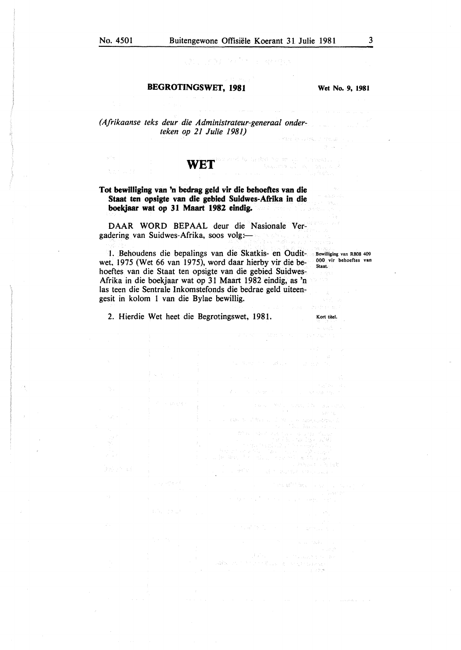#### BEGROTINGSWET, 1981

Wet No. 9, 1981

ara di loro constanti in approve

a Branco a Caraba<br>Balanca a Caraba<br>Balanca

*(Afrikaanse teks deur die Administrateur-generaal onderteken op 21 Julie 1981)* 

# **WET**

#### Tot bewilliging van 'n bedrag geld vir die behoeftes van die Staat ten opsigte van die gebied Suidwes-Afrika in die boekjaar wat op 31 Maart 1982 eindig.

DAAR WORD BEPAAL deur die Nasionale Vergadering van Suidwes-Afrika, soos volg:-

I. Behoudens die bepalings van die Skatkis- en Oudit-Bewilliging van R808 409 wet. 1975 (Wet 66 van 1975), word daar hierby vir die behoeftes van die Staat ten opsigte van die gebied Suidwes-Afrika in die boekjaar wat op 31 Maart 1982 eindig, as 'n las teen die Sentrale Inkomstefonds die bedrae geld uiteengesit in kolom 1 van die Bylae bewillig. 000 vir behoeftes van Staat.

2. Hierdie Wet beet die Begrotingswet, 1981.

Kort titel.

and a strip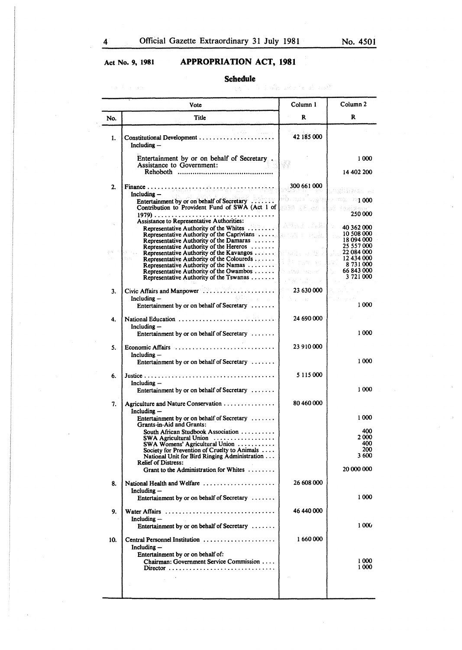# Act No. 9, **1981 APPROPRIATION ACT, 1981**

# **Schedule**

|     | Vote                                                                                                                           | Column 1                   | Column <sub>2</sub>                                |
|-----|--------------------------------------------------------------------------------------------------------------------------------|----------------------------|----------------------------------------------------|
| No. | Title                                                                                                                          | R                          | R                                                  |
| 1.  | Constitutional Development<br>Including -                                                                                      | 42 185 000                 |                                                    |
|     | Entertainment by or on behalf of Secretary<br>Assistance to Government:                                                        |                            | 1000                                               |
|     | <b>Rehoboth</b>                                                                                                                |                            | 14 402 200                                         |
| 2.  | Including $-$                                                                                                                  | 300 661 000                | št≱#Szona                                          |
|     | Entertainment by or on behalf of Secretary<br>Contribution to Provident Fund of SWA (Act 1 of                                  | $-1.716^{+2.003}_{-1.002}$ | $-1000$<br>a skenal event<br>250 000               |
|     | Assistance to Representative Authorities:                                                                                      | 과색될 바이스 월.                 |                                                    |
|     | Representative Authority of the Whites<br>Representative Authority of the Damaras<br>Representative Authority of the Hereros   |                            | 40 362 000<br>10 508 000<br>18094000<br>25 557 000 |
|     | Representative Authority of the Kavangos<br>Representative Authority of the Coloureds<br>Representative Authority of the Namas | imate and                  | 22 084 000<br>12 434 000<br>8731000                |
|     | Representative Authority of the Owambos<br>Representative Authority of the Tswanas                                             |                            | 66 843 000<br>3 721 000                            |
| 3.  |                                                                                                                                | 23 630 000                 |                                                    |
|     | $Including -$<br>振行 けいしょう<br>Entertainment by or on behalf of Secretary                                                        | $\sim 3.1^{\circ}$         | 1000                                               |
| 4.  | National Education<br>Including-                                                                                               | 24 690 000                 |                                                    |
|     | Entertainment by or on behalf of Secretary                                                                                     |                            | 1000                                               |
| 5.  | Economic Affairs<br>Including -<br>Entertainment by or on behalf of Secretary                                                  | 23 910 000                 | 1000                                               |
|     |                                                                                                                                |                            |                                                    |
| 6.  | Including $-$<br>Entertainment by or on behalf of Secretary                                                                    | 5 115 000                  | 1000                                               |
|     |                                                                                                                                | 80 460 000                 |                                                    |
| 7.  | Agriculture and Nature Conservation<br>Including -<br>Entertainment by or on behalf of Secretary $\dots \dots$                 |                            | 1000                                               |
|     | Grants-in-Aid and Grants:<br>South African Studbook Association                                                                |                            | 400                                                |
|     | $SWA$ Agricultural Union<br>SWA Womens' Agricultural Union                                                                     |                            | 2 000<br>400                                       |
|     | Society for Prevention of Cruelty to Animals                                                                                   |                            | 200<br>3 600                                       |
|     | National Unit for Bird Ringing Administration<br><b>Relief of Distress:</b>                                                    |                            |                                                    |
|     | Grant to the Administration for Whites                                                                                         |                            | 20 000 000                                         |
| 8.  | National Health and Welfare $\dots\dots\dots\dots\dots\dots$<br>Including -<br>Entertainment by or on behalf of Secretary      | 26 608 000                 | 1000                                               |
|     |                                                                                                                                | 46 440 000                 |                                                    |
| 9.  | Water Affairs<br>Including $-$<br>Entertainment by or on behalf of Secretary                                                   |                            | 1000                                               |
| 10. | Central Personnel Institution                                                                                                  | 1660000                    |                                                    |
|     | Including $-$<br>Entertainment by or on behalf of:<br>Chairman: Government Service Commission                                  |                            | 1000                                               |
|     |                                                                                                                                |                            | 1 000                                              |
|     |                                                                                                                                |                            |                                                    |
|     |                                                                                                                                |                            |                                                    |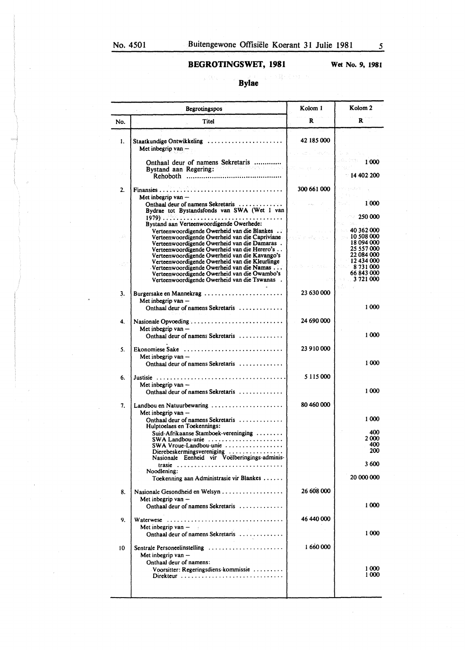Wet No. 9, **1981** 

# **Bylae**

|     | Begrotingspos                                                                                                                                                                                                                                   | Kolom 1         | Kolom <sub>2</sub>                                               |
|-----|-------------------------------------------------------------------------------------------------------------------------------------------------------------------------------------------------------------------------------------------------|-----------------|------------------------------------------------------------------|
| No. | Titel                                                                                                                                                                                                                                           | R               | R                                                                |
| 1.  | Staatkundige Ontwikkeling<br>Met inbegrip van -                                                                                                                                                                                                 | 42 185 000      |                                                                  |
|     |                                                                                                                                                                                                                                                 |                 | 1000<br>$-14402200$                                              |
| 2.  |                                                                                                                                                                                                                                                 | 300 661 000     |                                                                  |
|     | Met inbegrip van -<br>Onthaal deur of namens Sekretaris<br>Bydrae tot Bystandsfonds van SWA (Wet 1 van<br>Bystand aan Verteenwoordigende Owerhede:                                                                                              |                 | 1 000<br>$-250000$                                               |
|     | Verteenwoordigende Owerheid van die Blankes.<br>Verteenwoordigende Owerheid van die Capriviane<br>Verteenwoordigende Owerheid van die Damaras.<br>Verteenwoordigende Owerheid van die Herero's<br>Verteenwoordigende Owerheid van die Kavango's |                 | 40362000<br>10,508,000<br>18 094 000<br>25 557 000<br>22 084 000 |
|     | Verteenwoordigende Owerheid van die Kleurlinge<br>Verteenwoordigende Owerheid van die Namas<br>Verteenwoordigende Owerheid van die Owambo's<br>Verteenwoordigende Owerheid van die Tswanas.                                                     | Construction of | 12 434 000<br>8 731 000<br>66 843 000<br>3721.000                |
| 3.  | Burgersake en Mannekrag<br>Met inbegrip van -<br>Onthaal deur of namens Sekretaris                                                                                                                                                              | 23 630 000      | 1000                                                             |
| 4.  | Nasionale Opvoeding<br>Met inbegrip van -<br>Onthaal deur of namens Sekretaris                                                                                                                                                                  | 24 690 000      | 1000                                                             |
| 5.  | Ekonomiese Sake<br>Met inbegrip van -<br>Onthaal deur of namens Sekretaris                                                                                                                                                                      | 23 910 000      | 1000                                                             |
| 6.  | Justisie<br>Met inbegrip van $-$<br>Onthaal deur of namens Sekretaris                                                                                                                                                                           | 5 115 000       | 1000                                                             |
| 7.  | Landbou en Natuurbewaring<br>Met inbegrip van $-$                                                                                                                                                                                               | 80 460 000      |                                                                  |
|     | Onthaal deur of namens Sekretaris<br>Hulptoelaes en Toekennings:<br>Suid-Afrikaanse Stamboek-vereninging $\dots\dots$<br>$SWA$ Landbou-unie $\ldots \ldots \ldots \ldots$<br>SWA Vroue-Landbou-unie                                             |                 | 1000<br>400<br>2 000<br>400                                      |
|     | Dierebeskermingsvereniging $\ldots \ldots \ldots \ldots$<br>Nasionale Eenheid vir Voëlberingings-adminis-<br>trasie                                                                                                                             |                 | 200<br>3 600                                                     |
|     | Noodlening:<br>Toekenning aan Administrasie vir Blankes                                                                                                                                                                                         |                 | 20 000 000                                                       |
| 8.  | Met inbegrip van -<br>Onthaal deur of namens Sekretaris                                                                                                                                                                                         | 26 608 000      | 1000                                                             |
| 9.  | Waterwese<br>Met inbegrip van $-$                                                                                                                                                                                                               | 46 440 000      | 1 000                                                            |
| 10  | Onthaal deur of namens Sekretaris<br>Sentrale Personeelinstelling<br>Met inbegrip van -                                                                                                                                                         | 1 660 000       |                                                                  |
|     | Onthaal deur of namens:<br>Voorsitter: Regeringsdiens-kommissie<br>Direkteur                                                                                                                                                                    |                 | 1000<br>1000                                                     |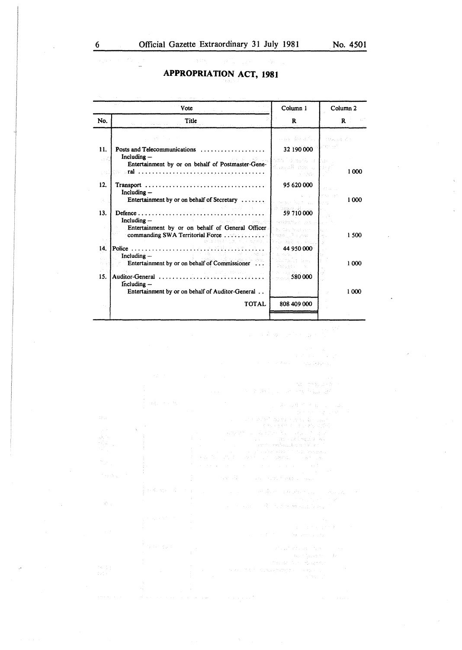# **APPROPRIATION ACT, 1981**

|                                                                                                  | Vote                                                                                                                                                                                                                                                                                                                                                                                                                                                                                                                         | Column 1                                                                                                                                                                                  | Column <sub>2</sub>                                                |
|--------------------------------------------------------------------------------------------------|------------------------------------------------------------------------------------------------------------------------------------------------------------------------------------------------------------------------------------------------------------------------------------------------------------------------------------------------------------------------------------------------------------------------------------------------------------------------------------------------------------------------------|-------------------------------------------------------------------------------------------------------------------------------------------------------------------------------------------|--------------------------------------------------------------------|
| No.                                                                                              | Title                                                                                                                                                                                                                                                                                                                                                                                                                                                                                                                        | R                                                                                                                                                                                         | R                                                                  |
| 11.<br>an d<br>a nati<br>12.<br>$\mathcal{S}_1$<br>13.<br>$\mathbb{R}^n$ . $\mathbb{R}^n$<br>14. | AAC College<br>Posts and Telecommunications<br>Including-<br>Entertainment by or on behalf of Postmaster-Gene-<br>Including $-$<br>Entertainment by or on behalf of Secretary $\dots \dots$<br>a sa salah sahiji désa di kacamatan<br>Including -<br>31151-1111<br>the control of the control<br>Entertainment by or on behalf of General Officer.<br>commanding SWA Territorial Force<br>Police $\ldots \ldots \ldots \ldots \ldots \ldots \ldots \ldots$<br>Including $-$<br>Entertainment by or on behalf of Commissioner | <b>Harry Brook</b> Co.<br>32 190 000<br>つぶち しつしゅふりこう<br>ditatu Aligas, tu<br>95 620 000<br>$\mathcal{L}_{\text{max}}$<br>S. Sandwich<br>59 710 000<br><b>Barriers while</b><br>44 950 000 | 10 mad Kr<br>man kilosofi<br>y ta<br>1000<br>1000<br>1500<br>1 000 |
| 15.                                                                                              | Auditor-General<br>$Including -$<br>Entertainment by or on behalf of Auditor-General<br><b>TOTAL</b>                                                                                                                                                                                                                                                                                                                                                                                                                         | 580 000<br>808 409 000                                                                                                                                                                    | 1 000                                                              |

 $\sim$   $\sim$   $\sim$ 

 $\sim 10^{-1}$ والكروي ويترد

in Avilian and on Wallacett  $\sim 10^{11}$  $\alpha = 1/2$  ,  $\alpha$ The company of the BB company

 $\beta$  ,  $\beta_{\rm{ex}}$   $\eta_{\rm{ex}}$  ,  $\mathcal{A}$  , we consider

 $\sim 5\,\mu_{\rm{Jup}}$  and  $\gamma_{\rm{Jup}}$  ,  $\gamma_{\rm{Jup}}$ 

 $\label{eq:1} \hat{f} = \hat{f} + \frac{1}{2} \left( \hat{f} + \hat{f} + \hat{f} \right)^{-1}$ 

in 1  $\label{eq:3.1} \left\langle \left( \mathbf{r}_{k,0} + \mathbf{r}_{k,1} \right), \mathbf{r}_{k} \right\rangle \leq \left\langle \left( \mathbf{r}_{k,0} \right) \right\rangle$ 

 $\mathcal{G}^{\mathcal{N}}_{\mathcal{F}^{\mathcal{N}}_{\mathcal{G}^{\mathcal{N}}_{\mathcal{G}}}}$ 

 $\sim$ L.